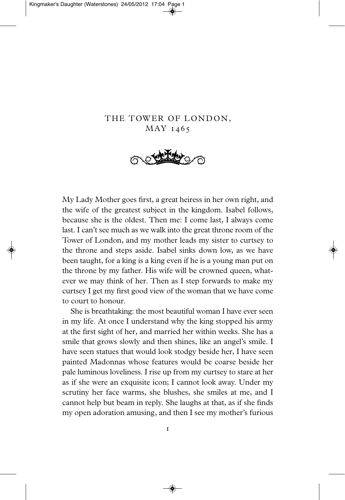# THE TOWER OF LONDON, MAY 1465



My Lady Mother goes first, a great heiress in her own right, and the wife of the greatest subject in the kingdom. Isabel follows, because she is the oldest. Then me: I come last, I always come last. I can't see much as we walk into the great throne room of the Tower of London, and my mother leads my sister to curtsey to the throne and steps aside. Isabel sinks down low, as we have been taught, for a king is a king even if he is a young man put on the throne by my father. His wife will be crowned queen, whatever we may think of her. Then as I step forwards to make my curtsey I get my first good view of the woman that we have come to court to honour.

She is breathtaking: the most beautiful woman I have ever seen in my life. At once I understand why the king stopped his army at the first sight of her, and married her within weeks. She has a smile that grows slowly and then shines, like an angel's smile. I have seen statues that would look stodgy beside her, I have seen painted Madonnas whose features would be coarse beside her pale luminous loveliness. I rise up from my curtsey to stare at her as if she were an exquisite icon; I cannot look away. Under my scrutiny her face warms, she blushes, she smiles at me, and I cannot help but beam in reply. She laughs at that, as if she finds my open adoration amusing, and then I see my mother's furious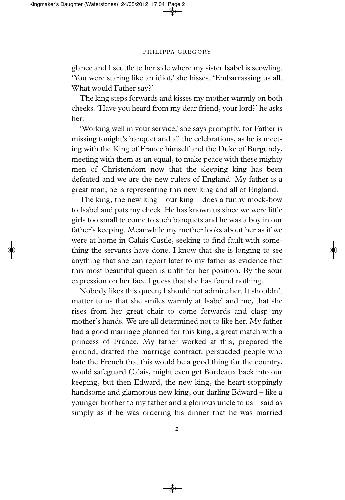glance and I scuttle to her side where my sister Isabel is scowling. 'You were staring like an idiot,' she hisses. 'Embarrassing us all. What would Father say?'

The king steps forwards and kisses my mother warmly on both cheeks. 'Have you heard from my dear friend, your lord?' he asks her.

'Working well in your service,' she says promptly, for Father is missing tonight's banquet and all the celebrations, as he is meeting with the King of France himself and the Duke of Burgundy, meeting with them as an equal, to make peace with these mighty men of Christendom now that the sleeping king has been defeated and we are the new rulers of England. My father is a great man; he is representing this new king and all of England.

The king, the new king – our king – does a funny mock-bow to Isabel and pats my cheek. He has known us since we were little girls too small to come to such banquets and he was a boy in our father's keeping. Meanwhile my mother looks about her as if we were at home in Calais Castle, seeking to find fault with something the servants have done. I know that she is longing to see anything that she can report later to my father as evidence that this most beautiful queen is unfit for her position. By the sour expression on her face I guess that she has found nothing.

Nobody likes this queen; I should not admire her. It shouldn't matter to us that she smiles warmly at Isabel and me, that she rises from her great chair to come forwards and clasp my mother's hands. We are all determined not to like her. My father had a good marriage planned for this king, a great match with a princess of France. My father worked at this, prepared the ground, drafted the marriage contract, persuaded people who hate the French that this would be a good thing for the country, would safeguard Calais, might even get Bordeaux back into our keeping, but then Edward, the new king, the heart-stoppingly handsome and glamorous new king, our darling Edward – like a younger brother to my father and a glorious uncle to us – said as simply as if he was ordering his dinner that he was married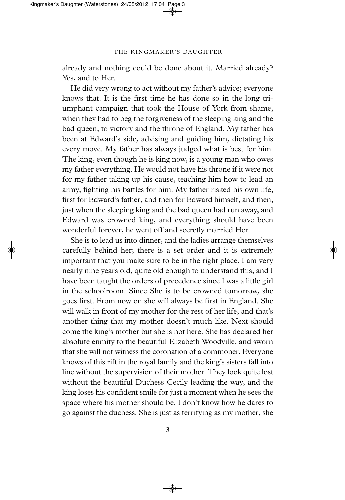already and nothing could be done about it. Married already? Yes, and to Her.

He did very wrong to act without my father's advice; everyone knows that. It is the first time he has done so in the long triumphant campaign that took the House of York from shame, when they had to beg the forgiveness of the sleeping king and the bad queen, to victory and the throne of England. My father has been at Edward's side, advising and guiding him, dictating his every move. My father has always judged what is best for him. The king, even though he is king now, is a young man who owes my father everything. He would not have his throne if it were not for my father taking up his cause, teaching him how to lead an army, fighting his battles for him. My father risked his own life, first for Edward's father, and then for Edward himself, and then, just when the sleeping king and the bad queen had run away, and Edward was crowned king, and everything should have been wonderful forever, he went off and secretly married Her.

She is to lead us into dinner, and the ladies arrange themselves carefully behind her; there is a set order and it is extremely important that you make sure to be in the right place. I am very nearly nine years old, quite old enough to understand this, and I have been taught the orders of precedence since I was a little girl in the schoolroom. Since She is to be crowned tomorrow, she goes first. From now on she will always be first in England. She will walk in front of my mother for the rest of her life, and that's another thing that my mother doesn't much like. Next should come the king's mother but she is not here. She has declared her absolute enmity to the beautiful Elizabeth Woodville, and sworn that she will not witness the coronation of a commoner. Everyone knows of this rift in the royal family and the king's sisters fall into line without the supervision of their mother. They look quite lost without the beautiful Duchess Cecily leading the way, and the king loses his confident smile for just a moment when he sees the space where his mother should be. I don't know how he dares to go against the duchess. She is just as terrifying as my mother, she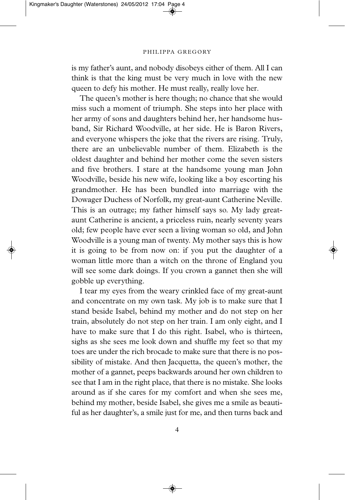is my father's aunt, and nobody disobeys either of them. All I can think is that the king must be very much in love with the new queen to defy his mother. He must really, really love her.

The queen's mother is here though; no chance that she would miss such a moment of triumph. She steps into her place with her army of sons and daughters behind her, her handsome husband, Sir Richard Woodville, at her side. He is Baron Rivers, and everyone whispers the joke that the rivers are rising. Truly, there are an unbelievable number of them. Elizabeth is the oldest daughter and behind her mother come the seven sisters and five brothers. I stare at the handsome young man John Woodville, beside his new wife, looking like a boy escorting his grandmother. He has been bundled into marriage with the Dowager Duchess of Norfolk, my great-aunt Catherine Neville. This is an outrage; my father himself says so. My lady greataunt Catherine is ancient, a priceless ruin, nearly seventy years old; few people have ever seen a living woman so old, and John Woodville is a young man of twenty. My mother says this is how it is going to be from now on: if you put the daughter of a woman little more than a witch on the throne of England you will see some dark doings. If you crown a gannet then she will gobble up everything.

I tear my eyes from the weary crinkled face of my great-aunt and concentrate on my own task. My job is to make sure that I stand beside Isabel, behind my mother and do not step on her train, absolutely do not step on her train. I am only eight, and I have to make sure that I do this right. Isabel, who is thirteen, sighs as she sees me look down and shuffle my feet so that my toes are under the rich brocade to make sure that there is no possibility of mistake. And then Jacquetta, the queen's mother, the mother of a gannet, peeps backwards around her own children to see that I am in the right place, that there is no mistake. She looks around as if she cares for my comfort and when she sees me, behind my mother, beside Isabel, she gives me a smile as beautiful as her daughter's, a smile just for me, and then turns back and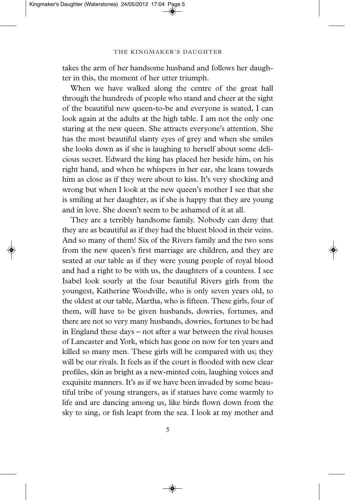takes the arm of her handsome husband and follows her daughter in this, the moment of her utter triumph.

When we have walked along the centre of the great hall through the hundreds of people who stand and cheer at the sight of the beautiful new queen-to-be and everyone is seated, I can look again at the adults at the high table. I am not the only one staring at the new queen. She attracts everyone's attention. She has the most beautiful slanty eyes of grey and when she smiles she looks down as if she is laughing to herself about some delicious secret. Edward the king has placed her beside him, on his right hand, and when he whispers in her ear, she leans towards him as close as if they were about to kiss. It's very shocking and wrong but when I look at the new queen's mother I see that she is smiling at her daughter, as if she is happy that they are young and in love. She doesn't seem to be ashamed of it at all.

They are a terribly handsome family. Nobody can deny that they are as beautiful as if they had the bluest blood in their veins. And so many of them! Six of the Rivers family and the two sons from the new queen's first marriage are children, and they are seated at our table as if they were young people of royal blood and had a right to be with us, the daughters of a countess. I see Isabel look sourly at the four beautiful Rivers girls from the youngest, Katherine Woodville, who is only seven years old, to the oldest at our table, Martha, who is fifteen. These girls, four of them, will have to be given husbands, dowries, fortunes, and there are not so very many husbands, dowries, fortunes to be had in England these days – not after a war between the rival houses of Lancaster and York, which has gone on now for ten years and killed so many men. These girls will be compared with us; they will be our rivals. It feels as if the court is flooded with new clear profiles, skin as bright as a new-minted coin, laughing voices and exquisite manners. It's as if we have been invaded by some beautiful tribe of young strangers, as if statues have come warmly to life and are dancing among us, like birds flown down from the sky to sing, or fish leapt from the sea. I look at my mother and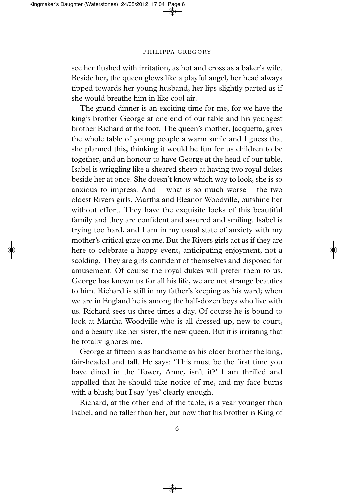see her flushed with irritation, as hot and cross as a baker's wife. Beside her, the queen glows like a playful angel, her head always tipped towards her young husband, her lips slightly parted as if she would breathe him in like cool air.

The grand dinner is an exciting time for me, for we have the king's brother George at one end of our table and his youngest brother Richard at the foot. The queen's mother, Jacquetta, gives the whole table of young people a warm smile and I guess that she planned this, thinking it would be fun for us children to be together, and an honour to have George at the head of our table. Isabel is wriggling like a sheared sheep at having two royal dukes beside her at once. She doesn't know which way to look, she is so anxious to impress. And – what is so much worse – the two oldest Rivers girls, Martha and Eleanor Woodville, outshine her without effort. They have the exquisite looks of this beautiful family and they are confident and assured and smiling. Isabel is trying too hard, and I am in my usual state of anxiety with my mother's critical gaze on me. But the Rivers girls act as if they are here to celebrate a happy event, anticipating enjoyment, not a scolding. They are girls confident of themselves and disposed for amusement. Of course the royal dukes will prefer them to us. George has known us for all his life, we are not strange beauties to him. Richard is still in my father's keeping as his ward; when we are in England he is among the half-dozen boys who live with us. Richard sees us three times a day. Of course he is bound to look at Martha Woodville who is all dressed up, new to court, and a beauty like her sister, the new queen. But it is irritating that he totally ignores me.

George at fifteen is as handsome as his older brother the king, fair-headed and tall. He says: 'This must be the first time you have dined in the Tower, Anne, isn't it?' I am thrilled and appalled that he should take notice of me, and my face burns with a blush; but I say 'yes' clearly enough.

Richard, at the other end of the table, is a year younger than Isabel, and no taller than her, but now that his brother is King of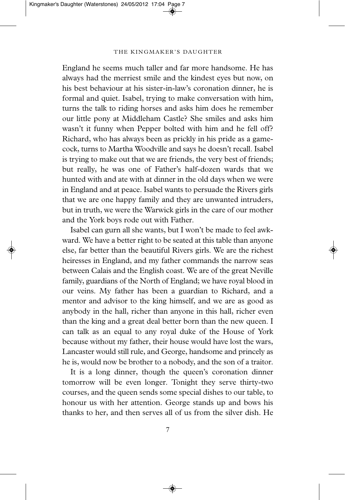England he seems much taller and far more handsome. He has always had the merriest smile and the kindest eyes but now, on his best behaviour at his sister-in-law's coronation dinner, he is formal and quiet. Isabel, trying to make conversation with him, turns the talk to riding horses and asks him does he remember our little pony at Middleham Castle? She smiles and asks him wasn't it funny when Pepper bolted with him and he fell off? Richard, who has always been as prickly in his pride as a gamecock, turns to Martha Woodville and says he doesn't recall. Isabel is trying to make out that we are friends, the very best of friends; but really, he was one of Father's half-dozen wards that we hunted with and ate with at dinner in the old days when we were in England and at peace. Isabel wants to persuade the Rivers girls that we are one happy family and they are unwanted intruders, but in truth, we were the Warwick girls in the care of our mother and the York boys rode out with Father.

Isabel can gurn all she wants, but I won't be made to feel awkward. We have a better right to be seated at this table than anyone else, far better than the beautiful Rivers girls. We are the richest heiresses in England, and my father commands the narrow seas between Calais and the English coast. We are of the great Neville family, guardians of the North of England; we have royal blood in our veins. My father has been a guardian to Richard, and a mentor and advisor to the king himself, and we are as good as anybody in the hall, richer than anyone in this hall, richer even than the king and a great deal better born than the new queen. I can talk as an equal to any royal duke of the House of York because without my father, their house would have lost the wars, Lancaster would still rule, and George, handsome and princely as he is, would now be brother to a nobody, and the son of a traitor.

It is a long dinner, though the queen's coronation dinner tomorrow will be even longer. Tonight they serve thirty-two courses, and the queen sends some special dishes to our table, to honour us with her attention. George stands up and bows his thanks to her, and then serves all of us from the silver dish. He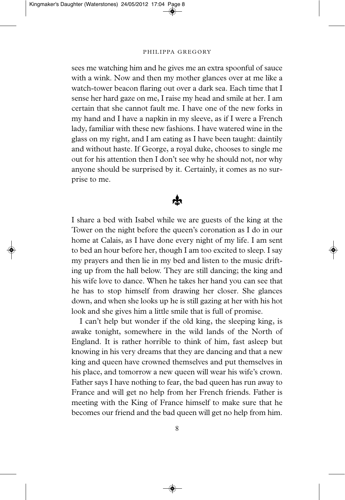sees me watching him and he gives me an extra spoonful of sauce with a wink. Now and then my mother glances over at me like a watch-tower beacon flaring out over a dark sea. Each time that I sense her hard gaze on me, I raise my head and smile at her. I am certain that she cannot fault me. I have one of the new forks in my hand and I have a napkin in my sleeve, as if I were a French lady, familiar with these new fashions. I have watered wine in the glass on my right, and I am eating as I have been taught: daintily and without haste. If George, a royal duke, chooses to single me out for his attention then I don't see why he should not, nor why anyone should be surprised by it. Certainly, it comes as no surprise to me.



I share a bed with Isabel while we are guests of the king at the Tower on the night before the queen's coronation as I do in our home at Calais, as I have done every night of my life. I am sent to bed an hour before her, though I am too excited to sleep. I say my prayers and then lie in my bed and listen to the music drifting up from the hall below. They are still dancing; the king and his wife love to dance. When he takes her hand you can see that he has to stop himself from drawing her closer. She glances down, and when she looks up he is still gazing at her with his hot look and she gives him a little smile that is full of promise.

I can't help but wonder if the old king, the sleeping king, is awake tonight, somewhere in the wild lands of the North of England. It is rather horrible to think of him, fast asleep but knowing in his very dreams that they are dancing and that a new king and queen have crowned themselves and put themselves in his place, and tomorrow a new queen will wear his wife's crown. Father says I have nothing to fear, the bad queen has run away to France and will get no help from her French friends. Father is meeting with the King of France himself to make sure that he becomes our friend and the bad queen will get no help from him.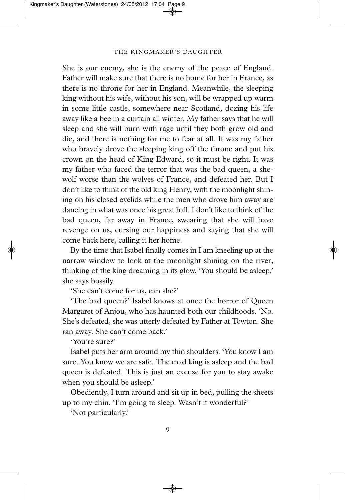She is our enemy, she is the enemy of the peace of England. Father will make sure that there is no home for her in France, as there is no throne for her in England. Meanwhile, the sleeping king without his wife, without his son, will be wrapped up warm in some little castle, somewhere near Scotland, dozing his life away like a bee in a curtain all winter. My father says that he will sleep and she will burn with rage until they both grow old and die, and there is nothing for me to fear at all. It was my father who bravely drove the sleeping king off the throne and put his crown on the head of King Edward, so it must be right. It was my father who faced the terror that was the bad queen, a shewolf worse than the wolves of France, and defeated her. But I don't like to think of the old king Henry, with the moonlight shining on his closed eyelids while the men who drove him away are dancing in what was once his great hall. I don't like to think of the bad queen, far away in France, swearing that she will have revenge on us, cursing our happiness and saying that she will come back here, calling it her home.

By the time that Isabel finally comes in I am kneeling up at the narrow window to look at the moonlight shining on the river, thinking of the king dreaming in its glow. 'You should be asleep,' she says bossily.

'She can't come for us, can she?'

'The bad queen?' Isabel knows at once the horror of Queen Margaret of Anjou, who has haunted both our childhoods. 'No. She's defeated, she was utterly defeated by Father at Towton. She ran away. She can't come back.'

'You're sure?'

Isabel puts her arm around my thin shoulders. 'You know I am sure. You know we are safe. The mad king is asleep and the bad queen is defeated. This is just an excuse for you to stay awake when you should be asleep.'

Obediently, I turn around and sit up in bed, pulling the sheets up to my chin. 'I'm going to sleep. Wasn't it wonderful?'

'Not particularly.'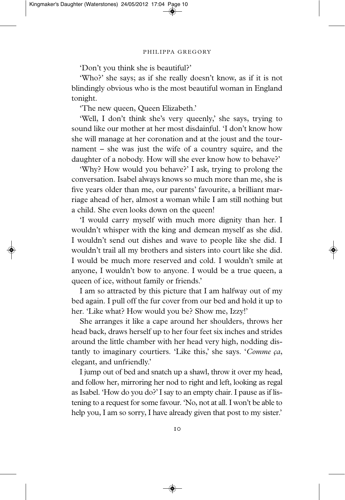'Don't you think she is beautiful?'

'Who?' she says; as if she really doesn't know, as if it is not blindingly obvious who is the most beautiful woman in England tonight.

'The new queen, Queen Elizabeth.'

'Well, I don't think she's very queenly,' she says, trying to sound like our mother at her most disdainful. 'I don't know how she will manage at her coronation and at the joust and the tournament – she was just the wife of a country squire, and the daughter of a nobody. How will she ever know how to behave?'

'Why? How would you behave?' I ask, trying to prolong the conversation. Isabel always knows so much more than me, she is five years older than me, our parents' favourite, a brilliant marriage ahead of her, almost a woman while I am still nothing but a child. She even looks down on the queen!

'I would carry myself with much more dignity than her. I wouldn't whisper with the king and demean myself as she did. I wouldn't send out dishes and wave to people like she did. I wouldn't trail all my brothers and sisters into court like she did. I would be much more reserved and cold. I wouldn't smile at anyone, I wouldn't bow to anyone. I would be a true queen, a queen of ice, without family or friends.'

I am so attracted by this picture that I am halfway out of my bed again. I pull off the fur cover from our bed and hold it up to her. 'Like what? How would you be? Show me, Izzy!'

She arranges it like a cape around her shoulders, throws her head back, draws herself up to her four feet six inches and strides around the little chamber with her head very high, nodding distantly to imaginary courtiers. 'Like this,' she says. '*Comme ça*, elegant, and unfriendly.'

I jump out of bed and snatch up a shawl, throw it over my head, and follow her, mirroring her nod to right and left, looking as regal as Isabel. 'How do you do?' I say to an empty chair. I pause as if listening to a request for some favour. 'No, not at all. I won't be able to help you, I am so sorry, I have already given that post to my sister.'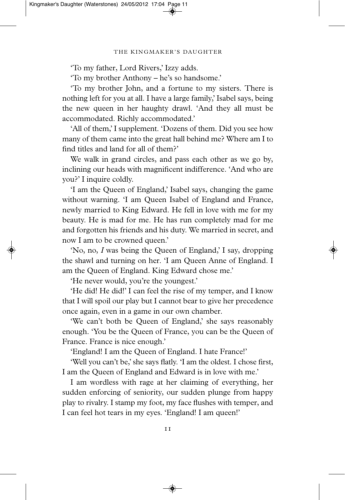'To my father, Lord Rivers,' Izzy adds.

'To my brother Anthony – he's so handsome.'

'To my brother John, and a fortune to my sisters. There is nothing left for you at all. I have a large family,' Isabel says, being the new queen in her haughty drawl. 'And they all must be accommodated. Richly accommodated.'

'All of them,' I supplement. 'Dozens of them. Did you see how many of them came into the great hall behind me? Where am I to find titles and land for all of them?'

We walk in grand circles, and pass each other as we go by, inclining our heads with magnificent indifference. 'And who are you?' I inquire coldly.

'I am the Queen of England,' Isabel says, changing the game without warning. 'I am Queen Isabel of England and France, newly married to King Edward. He fell in love with me for my beauty. He is mad for me. He has run completely mad for me and forgotten his friends and his duty. We married in secret, and now I am to be crowned queen.'

'No, no, *I* was being the Queen of England,' I say, dropping the shawl and turning on her. 'I am Queen Anne of England. I am the Queen of England. King Edward chose me.'

'He never would, you're the youngest.'

'He did! He did!' I can feel the rise of my temper, and I know that I will spoil our play but I cannot bear to give her precedence once again, even in a game in our own chamber.

'We can't both be Queen of England,' she says reasonably enough. 'You be the Queen of France, you can be the Queen of France. France is nice enough.'

'England! I am the Queen of England. I hate France!'

'Well you can't be,' she says flatly. 'I am the oldest. I chose first, I am the Queen of England and Edward is in love with me.'

I am wordless with rage at her claiming of everything, her sudden enforcing of seniority, our sudden plunge from happy play to rivalry. I stamp my foot, my face flushes with temper, and I can feel hot tears in my eyes. 'England! I am queen!'

II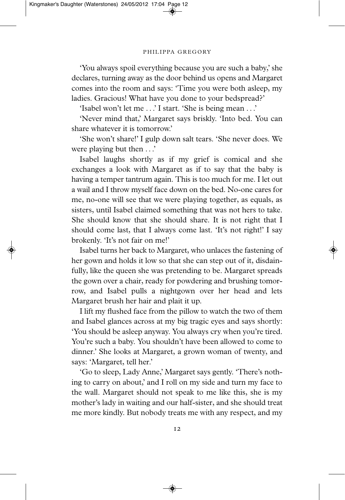'You always spoil everything because you are such a baby,' she declares, turning away as the door behind us opens and Margaret comes into the room and says: 'Time you were both asleep, my ladies. Gracious! What have you done to your bedspread?'

'Isabel won't let me . . .' I start. 'She is being mean . . .'

'Never mind that,' Margaret says briskly. 'Into bed. You can share whatever it is tomorrow.'

'She won't share!' I gulp down salt tears. 'She never does. We were playing but then . . .'

Isabel laughs shortly as if my grief is comical and she exchanges a look with Margaret as if to say that the baby is having a temper tantrum again. This is too much for me. I let out a wail and I throw myself face down on the bed. No-one cares for me, no-one will see that we were playing together, as equals, as sisters, until Isabel claimed something that was not hers to take. She should know that she should share. It is not right that I should come last, that I always come last. 'It's not right!' I say brokenly. 'It's not fair on me!'

Isabel turns her back to Margaret, who unlaces the fastening of her gown and holds it low so that she can step out of it, disdainfully, like the queen she was pretending to be. Margaret spreads the gown over a chair, ready for powdering and brushing tomorrow, and Isabel pulls a nightgown over her head and lets Margaret brush her hair and plait it up.

I lift my flushed face from the pillow to watch the two of them and Isabel glances across at my big tragic eyes and says shortly: 'You should be asleep anyway. You always cry when you're tired. You're such a baby. You shouldn't have been allowed to come to dinner.' She looks at Margaret, a grown woman of twenty, and says: 'Margaret, tell her.'

'Go to sleep, Lady Anne,' Margaret says gently. 'There's nothing to carry on about,' and I roll on my side and turn my face to the wall. Margaret should not speak to me like this, she is my mother's lady in waiting and our half-sister, and she should treat me more kindly. But nobody treats me with any respect, and my